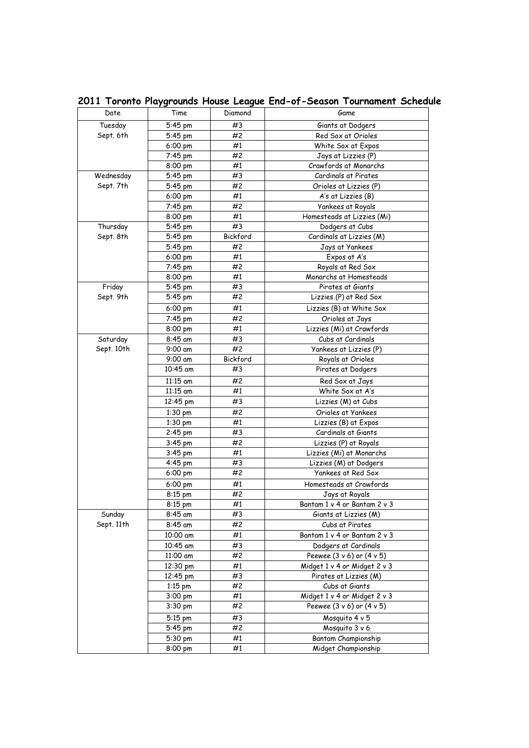| Date       | Time               | Diamond  | Game                         |
|------------|--------------------|----------|------------------------------|
| Tuesday    | 5:45 pm            | #3       | Giants at Dodgers            |
| Sept. 6th  | 5:45 pm            | #2       | Red Sox at Orioles           |
|            | 6:00 pm            | #1       | White Sox at Expos           |
|            | 7:45 pm            | #2       | Jays at Lizzies (P)          |
|            | 8:00 pm            | #1       | Crawfords at Monarchs        |
| Wednesday  | $5:45$ pm          | #3       | Cardinals at Pirates         |
| Sept. 7th  | 5:45 pm            | #2       | Orioles at Lizzies (P)       |
|            | $6:00 \text{ pm}$  | #1       | A's at Lizzies (B)           |
|            | 7:45 pm            | #2       | <b>Yankees at Royals</b>     |
|            | 8:00 pm            | #1       | Homesteads at Lizzies (Mi)   |
| Thursday   | $5:45$ pm          | #3       | Dodgers at Cubs              |
| Sept. 8th  | $5:45$ pm          | Bickford | Cardinals at Lizzies (M)     |
|            | 5:45 pm            | #2       | Jays at Yankees              |
|            | $6:00 \text{ pm}$  | #1       | Expos at A's                 |
|            | 7:45 pm            | #2       | Royals at Red Sox            |
|            | 8:00 pm            | #1       | Monarchs at Homesteads       |
| Friday     | 5:45 pm            | #3       | Pirates at Giants            |
| Sept. 9th  | 5:45 pm            | #2       | Lizzies (P) at Red Sox       |
|            | 6:00 pm            | #1       | Lizzies (B) at White Sox     |
|            | 7:45 pm            | #2       | Orioles at Jays              |
|            | 8:00 pm            | #1       | Lizzies (Mi) at Crawfords    |
|            |                    |          |                              |
| Saturday   | 8:45 am            | #3       | Cubs at Cardinals            |
| Sept. 10th | $9:00 \text{ am}$  | #2       | Yankees at Lizzies (P)       |
|            | 9:00 am            | Bickford | Royals at Orioles            |
|            | 10:45 am           | #3       | Pirates at Dodgers           |
|            | $11:15$ am         | #2       | Red Sox at Jays              |
|            | 11:15 am           | #1       | White Sox at A's             |
|            | 12:45 pm           | #3       | Lizzies (M) at Cubs          |
|            | $1:30$ pm          | #2       | Orioles at Yankees           |
|            | 1:30 pm            | #1       | Lizzies (B) at Expos         |
|            | $2:45$ pm          | #3       | Cardinals at Giants          |
|            | 3:45 pm            | #2       | Lizzies (P) at Royals        |
|            | 3:45 pm            | #1       | Lizzies (Mi) at Monarchs     |
|            | 4:45 pm            | #3       | Lizzies (M) at Dodgers       |
|            | 6:00 pm            | #2       | Yankees at Red Sox           |
|            | 6:00 pm            | #1       | Homesteads at Crawfords      |
|            | $8:15$ pm          | #2       | Jays at Royals               |
|            | $8:15$ pm          | #1       | Bantam 1 v 4 or Bantam 2 v 3 |
| Sunday     | $8:45$ am          | #3       | Giants at Lizzies (M)        |
| Sept. 11th | 8:45 am            | #2       | Cubs at Pirates              |
|            | 10:00 am           | #1       | Bantam 1 v 4 or Bantam 2 v 3 |
|            | 10:45 am           | #3       | Dodgers at Cardinals         |
|            | 11:00 am           | #2       | Peewee (3 v 6) or (4 v 5)    |
|            | $12:30 \text{ pm}$ | #1       | Midget 1 v 4 or Midget 2 v 3 |
|            | 12:45 pm           | #3       | Pirates at Lizzies (M)       |
|            | $1:15$ pm          | #2       | Cubs at Giants               |
|            | 3:00 pm            | #1       | Midget 1 v 4 or Midget 2 v 3 |
|            | 3:30 pm            | #2       | Peewee (3 v 6) or (4 v 5)    |
|            | $5:15$ pm          | #3       | Mosquito 4 v 5               |
|            | 5:45 pm            | #2       | Mosquito 3 v 6               |
|            | 5:30 pm            | #1       | Bantam Championship          |
|            | $8:00 \text{ pm}$  | #1       | Midget Championship          |
|            |                    |          |                              |

**2011 Toronto Playgrounds House League End-of-Season Tournament Schedule**